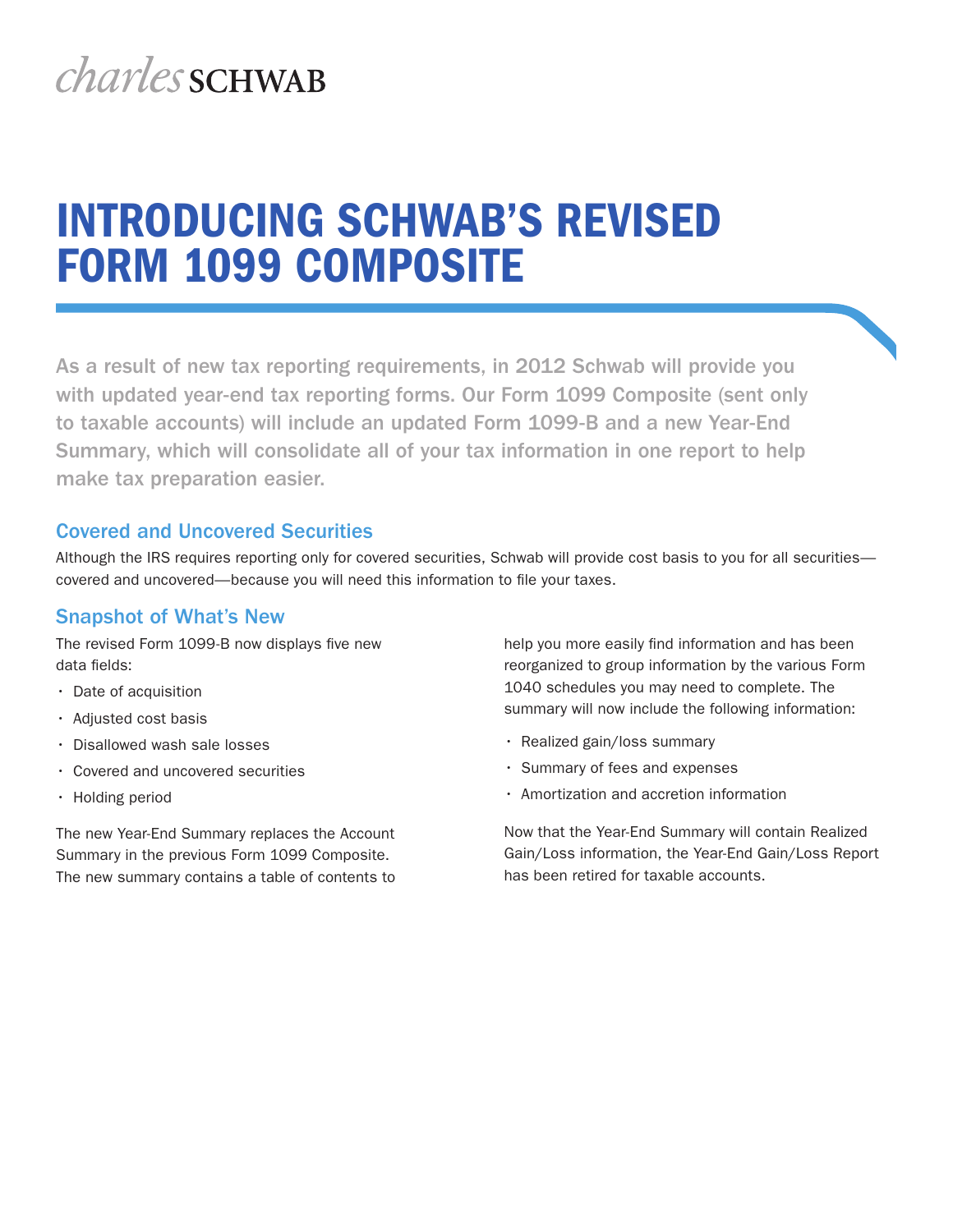# *charles* SCHWAB

## INTRODUCING SCHWAB'S REVISED FORM 1099 COMPOSITE

As a result of new tax reporting requirements, in 2012 Schwab will provide you with updated year-end tax reporting forms. Our Form 1099 Composite (sent only to taxable accounts) will include an updated Form 1099-B and a new Year-End Summary, which will consolidate all of your tax information in one report to help make tax preparation easier.

#### Covered and Uncovered Securities

Although the IRS requires reporting only for covered securities, Schwab will provide cost basis to you for all securities covered and uncovered—because you will need this information to file your taxes.

#### Snapshot of What's New

The revised Form 1099-B now displays five new data fields:

- Date of acquisition
- • Adjusted cost basis
- Disallowed wash sale losses
- • Covered and uncovered securities
- Holding period

The new Year-End Summary replaces the Account Summary in the previous Form 1099 Composite. The new summary contains a table of contents to help you more easily find information and has been reorganized to group information by the various Form 1040 schedules you may need to complete. The summary will now include the following information:

- Realized gain/loss summary
- • Summary of fees and expenses
- • Amortization and accretion information

Now that the Year-End Summary will contain Realized Gain/Loss information, the Year-End Gain/Loss Report has been retired for taxable accounts.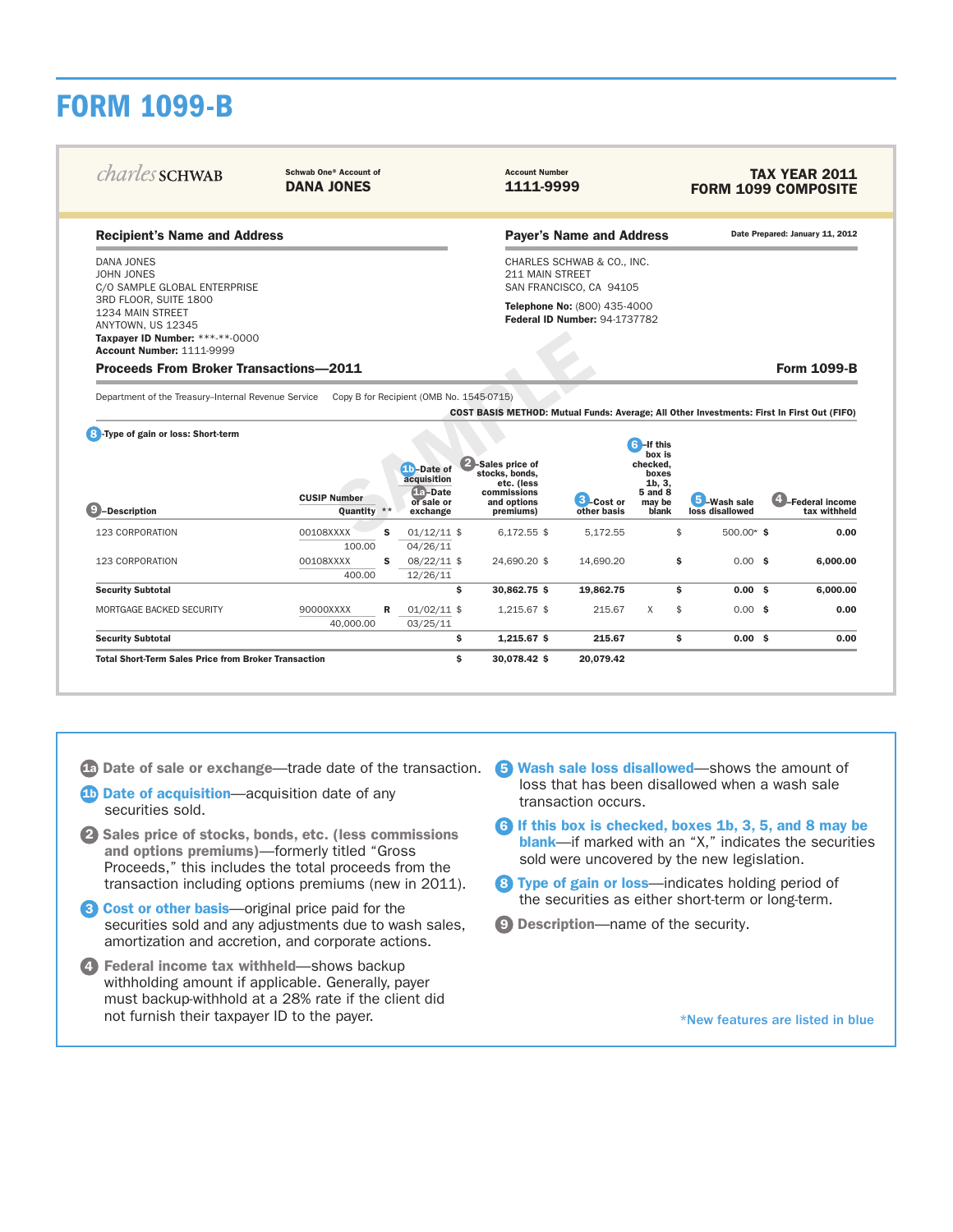## FORM 1099-B

| <i>charles</i> SCHWAB                                                                        | Schwab One® Account of<br><b>DANA JONES</b> |                                                       |                                                       | <b>Account Number</b><br>1111-9999 |                                                  |                              | <b>TAX YEAR 2011</b><br><b>FORM 1099 COMPOSITE</b>                                         |  |  |  |
|----------------------------------------------------------------------------------------------|---------------------------------------------|-------------------------------------------------------|-------------------------------------------------------|------------------------------------|--------------------------------------------------|------------------------------|--------------------------------------------------------------------------------------------|--|--|--|
| <b>Recipient's Name and Address</b>                                                          |                                             |                                                       |                                                       | <b>Payer's Name and Address</b>    |                                                  |                              | Date Prepared: January 11, 2012                                                            |  |  |  |
| DANA JONES<br>JOHN JONES<br>C/O SAMPLE GLOBAL ENTERPRISE                                     | 211 MAIN STREET                             | CHARLES SCHWAB & CO., INC.<br>SAN FRANCISCO, CA 94105 |                                                       |                                    |                                                  |                              |                                                                                            |  |  |  |
| 3RD FLOOR, SUITE 1800<br>1234 MAIN STREET                                                    |                                             | Telephone No: (800) 435-4000                          |                                                       |                                    |                                                  |                              |                                                                                            |  |  |  |
| ANYTOWN, US 12345                                                                            |                                             |                                                       |                                                       | Federal ID Number: 94-1737782      |                                                  |                              |                                                                                            |  |  |  |
| Taxpayer ID Number: ***-**-0000<br><b>Account Number: 1111-9999</b>                          |                                             |                                                       |                                                       |                                    |                                                  |                              |                                                                                            |  |  |  |
| <b>Proceeds From Broker Transactions-2011</b>                                                |                                             |                                                       |                                                       |                                    |                                                  |                              | <b>Form 1099-B</b>                                                                         |  |  |  |
| Department of the Treasury-Internal Revenue Service Copy B for Recipient (OMB No. 1545-0715) |                                             |                                                       |                                                       |                                    |                                                  |                              |                                                                                            |  |  |  |
| 8 - Type of gain or loss: Short-term                                                         |                                             | <b>10</b> -Date of<br>acquisition                     | 2-Sales price of<br>stocks, bonds.                    |                                    | <b>6</b> -If this<br>box is<br>checked,<br>boxes |                              | COST BASIS METHOD: Mutual Funds: Average; All Other Investments: First In First Out (FIFO) |  |  |  |
| <b>9</b> -Description                                                                        | <b>CUSIP Number</b><br>Quantity $**$        | fla-Date<br>of sale or<br>exchange                    | etc. (less<br>commissions<br>and options<br>premiums) | <b>B</b> -Cost or<br>other basis   | 1b, 3,<br><b>5 and 8</b><br>may be<br>blank      | Wash sale<br>loss disallowed | 4-Federal income<br>tax withheld                                                           |  |  |  |
| 123 CORPORATION                                                                              | 00108XXXX<br>s<br>100.00                    | $01/12/11$ \$<br>04/26/11                             | $6,172.55$ \$                                         | 5,172.55                           | $\mathfrak{F}$                                   | $500.00*$ \$                 | 0.00                                                                                       |  |  |  |
| 123 CORPORATION                                                                              | 00108XXXX<br>s.<br>400.00                   | 08/22/11 \$<br>12/26/11                               | 24,690.20 \$                                          | 14,690.20                          |                                                  | \$<br>$0.00$ \$              | 6,000.00                                                                                   |  |  |  |
| <b>Security Subtotal</b>                                                                     |                                             | $\mathbf{s}$                                          | 30,862.75 \$                                          | 19,862.75                          |                                                  | s.<br>$0.00$ \$              | 6,000.00                                                                                   |  |  |  |
| MORTGAGE BACKED SECURITY                                                                     | 90000XXXX<br>40,000.00                      | $01/02/11$ \$<br>R<br>03/25/11                        | 1,215.67 \$                                           | 215.67                             | $\mathsf{X}$<br>$\frac{1}{2}$                    | $0.00$ \$                    | 0.00                                                                                       |  |  |  |
| <b>Security Subtotal</b>                                                                     |                                             | \$                                                    | $1,215.67$ \$                                         | 215.67                             |                                                  | \$.<br>$0.00 \;$ \$          | 0.00                                                                                       |  |  |  |

1a Date of sale or exchange—trade date of the transaction.

**1 25 Date of acquisition**—acquisition date of any securities sold.  $S_{\rm 3D}$  ,  $S_{\rm 3D}$   $S_{\rm 3D}$   $S_{\rm 3D}$   $S_{\rm 3D}$   $S_{\rm 3D}$   $S_{\rm 3D}$   $S_{\rm 3D}$   $S_{\rm 3D}$   $S_{\rm 3D}$   $S_{\rm 3D}$   $S_{\rm 3D}$   $S_{\rm 3D}$   $S_{\rm 3D}$   $S_{\rm 3D}$   $S_{\rm 3D}$   $S_{\rm 3D}$   $S_{\rm 3D}$   $S_{\rm 3D}$   $S_{\rm 3D}$ 

- 2 Sales price of stocks, bonds, etc. (less commissions and options premiums)—formerly titled "Gross" Proceeds," this includes the total proceeds from the transaction including options premiums (new in 2011).
- **3** Cost or other basis—original price paid for the securities sold and any adjustments due to wash sales, amortization and accretion, and corporate actions.  $T = \frac{1}{2}$ 
	- 4 Federal income tax withheld—shows backup withholding amount if applicable. Generally, payer must backup-withhold at a 28% rate if the client did not furnish their taxpayer ID to the payer.

Wash sale loss disallowed—shows the amount of

5

5 Wash sale loss disallowed—shows the amount of loss that has been disallowed when a wash sale transaction occurs.

- 6 If this box is checked, boxes 1b, 3, 5, and 8 may be blank—if marked with an "X," indicates the securities sold were uncovered by the new legislation.
- 8 Type of gain or loss-indicates holding period of the securities as either short-term or long-term.
- **9) Description**—name of the security.

\*New features are listed in blue